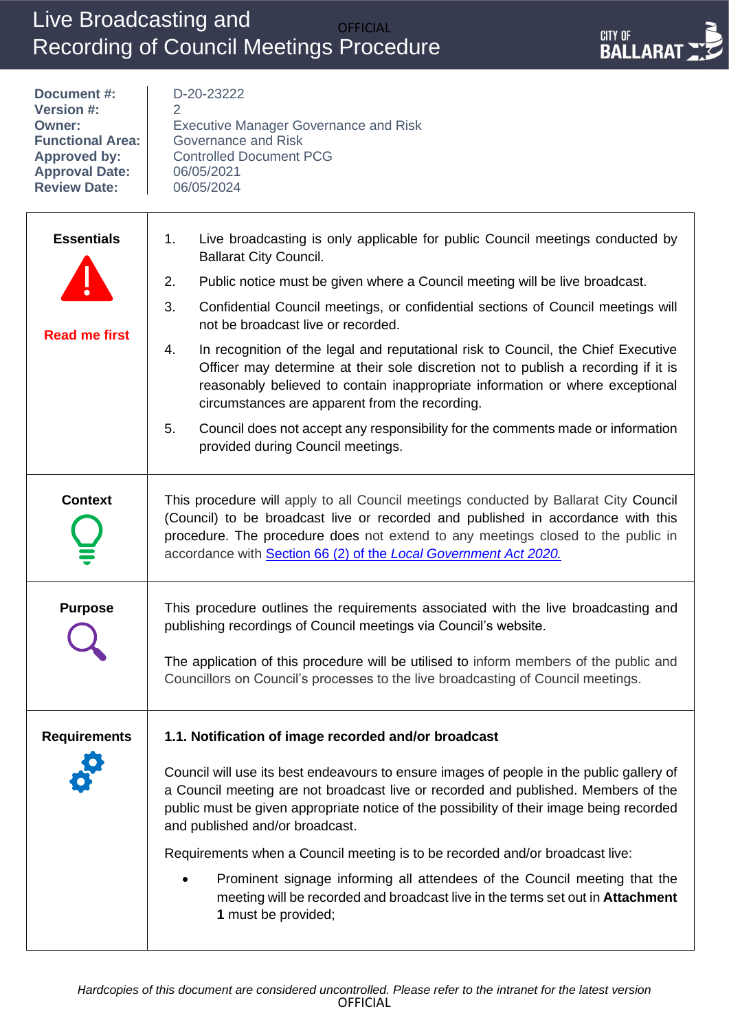# Live Broadcasting and Recording of Council Meetings Procedure OFFICIAL



| Document #:<br><b>Version #:</b><br>Owner:<br><b>Functional Area:</b><br><b>Approved by:</b><br><b>Approval Date:</b><br><b>Review Date:</b> | D-20-23222<br>2<br><b>Executive Manager Governance and Risk</b><br>Governance and Risk<br><b>Controlled Document PCG</b><br>06/05/2021<br>06/05/2024                                                                                                                                                                             |
|----------------------------------------------------------------------------------------------------------------------------------------------|----------------------------------------------------------------------------------------------------------------------------------------------------------------------------------------------------------------------------------------------------------------------------------------------------------------------------------|
| <b>Essentials</b>                                                                                                                            | Live broadcasting is only applicable for public Council meetings conducted by<br>1.<br><b>Ballarat City Council.</b>                                                                                                                                                                                                             |
|                                                                                                                                              | 2.<br>Public notice must be given where a Council meeting will be live broadcast.                                                                                                                                                                                                                                                |
| <b>Read me first</b>                                                                                                                         | 3.<br>Confidential Council meetings, or confidential sections of Council meetings will<br>not be broadcast live or recorded.                                                                                                                                                                                                     |
|                                                                                                                                              | 4.<br>In recognition of the legal and reputational risk to Council, the Chief Executive<br>Officer may determine at their sole discretion not to publish a recording if it is<br>reasonably believed to contain inappropriate information or where exceptional<br>circumstances are apparent from the recording.                 |
|                                                                                                                                              | 5.<br>Council does not accept any responsibility for the comments made or information<br>provided during Council meetings.                                                                                                                                                                                                       |
| <b>Context</b>                                                                                                                               | This procedure will apply to all Council meetings conducted by Ballarat City Council<br>(Council) to be broadcast live or recorded and published in accordance with this<br>procedure. The procedure does not extend to any meetings closed to the public in<br>accordance with Section 66 (2) of the Local Government Act 2020. |
| <b>Purpose</b>                                                                                                                               | This procedure outlines the requirements associated with the live broadcasting and<br>publishing recordings of Council meetings via Council's website.                                                                                                                                                                           |
|                                                                                                                                              | The application of this procedure will be utilised to inform members of the public and<br>Councillors on Council's processes to the live broadcasting of Council meetings.                                                                                                                                                       |
| <b>Requirements</b>                                                                                                                          | 1.1. Notification of image recorded and/or broadcast                                                                                                                                                                                                                                                                             |
|                                                                                                                                              | Council will use its best endeavours to ensure images of people in the public gallery of<br>a Council meeting are not broadcast live or recorded and published. Members of the<br>public must be given appropriate notice of the possibility of their image being recorded<br>and published and/or broadcast.                    |
|                                                                                                                                              | Requirements when a Council meeting is to be recorded and/or broadcast live:                                                                                                                                                                                                                                                     |
|                                                                                                                                              | Prominent signage informing all attendees of the Council meeting that the<br>meeting will be recorded and broadcast live in the terms set out in <b>Attachment</b><br>1 must be provided;                                                                                                                                        |
|                                                                                                                                              |                                                                                                                                                                                                                                                                                                                                  |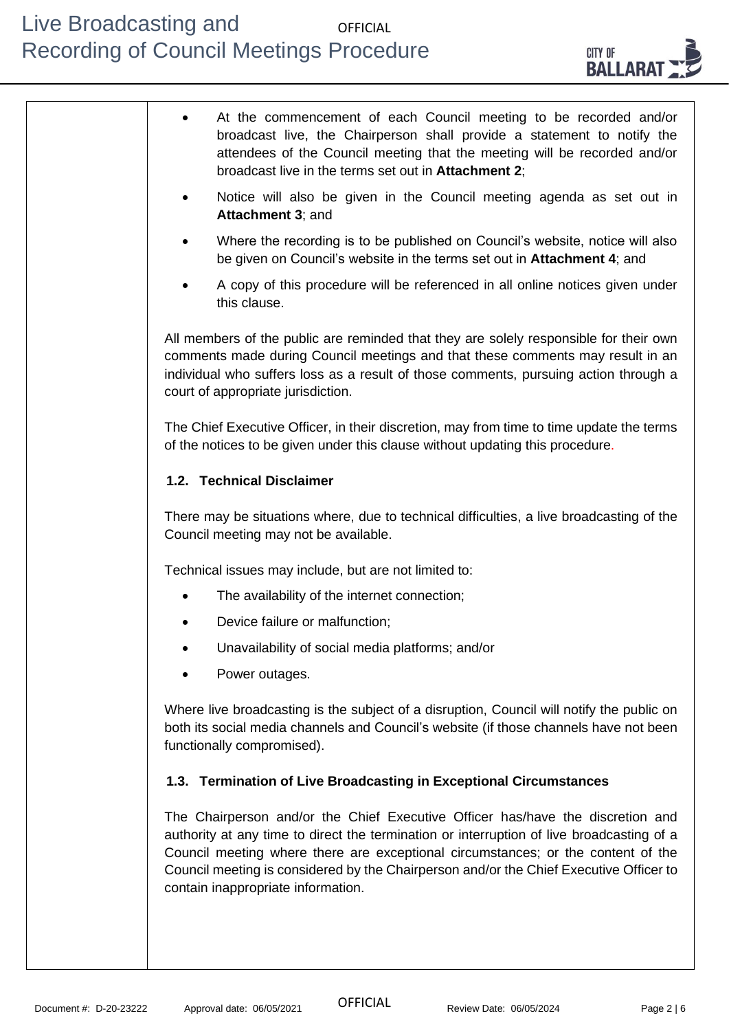

| At the commencement of each Council meeting to be recorded and/or<br>broadcast live, the Chairperson shall provide a statement to notify the<br>attendees of the Council meeting that the meeting will be recorded and/or<br>broadcast live in the terms set out in Attachment 2;                                                                                                               |
|-------------------------------------------------------------------------------------------------------------------------------------------------------------------------------------------------------------------------------------------------------------------------------------------------------------------------------------------------------------------------------------------------|
| Notice will also be given in the Council meeting agenda as set out in<br>Attachment 3; and                                                                                                                                                                                                                                                                                                      |
| Where the recording is to be published on Council's website, notice will also<br>be given on Council's website in the terms set out in Attachment 4; and                                                                                                                                                                                                                                        |
| A copy of this procedure will be referenced in all online notices given under<br>this clause.                                                                                                                                                                                                                                                                                                   |
| All members of the public are reminded that they are solely responsible for their own<br>comments made during Council meetings and that these comments may result in an<br>individual who suffers loss as a result of those comments, pursuing action through a<br>court of appropriate jurisdiction.                                                                                           |
| The Chief Executive Officer, in their discretion, may from time to time update the terms<br>of the notices to be given under this clause without updating this procedure.                                                                                                                                                                                                                       |
| 1.2. Technical Disclaimer                                                                                                                                                                                                                                                                                                                                                                       |
| There may be situations where, due to technical difficulties, a live broadcasting of the<br>Council meeting may not be available.                                                                                                                                                                                                                                                               |
| Technical issues may include, but are not limited to:                                                                                                                                                                                                                                                                                                                                           |
| The availability of the internet connection;                                                                                                                                                                                                                                                                                                                                                    |
| Device failure or malfunction;                                                                                                                                                                                                                                                                                                                                                                  |
| Unavailability of social media platforms; and/or                                                                                                                                                                                                                                                                                                                                                |
| Power outages.                                                                                                                                                                                                                                                                                                                                                                                  |
| Where live broadcasting is the subject of a disruption, Council will notify the public on<br>both its social media channels and Council's website (if those channels have not been<br>functionally compromised).                                                                                                                                                                                |
| 1.3. Termination of Live Broadcasting in Exceptional Circumstances                                                                                                                                                                                                                                                                                                                              |
| The Chairperson and/or the Chief Executive Officer has/have the discretion and<br>authority at any time to direct the termination or interruption of live broadcasting of a<br>Council meeting where there are exceptional circumstances; or the content of the<br>Council meeting is considered by the Chairperson and/or the Chief Executive Officer to<br>contain inappropriate information. |
|                                                                                                                                                                                                                                                                                                                                                                                                 |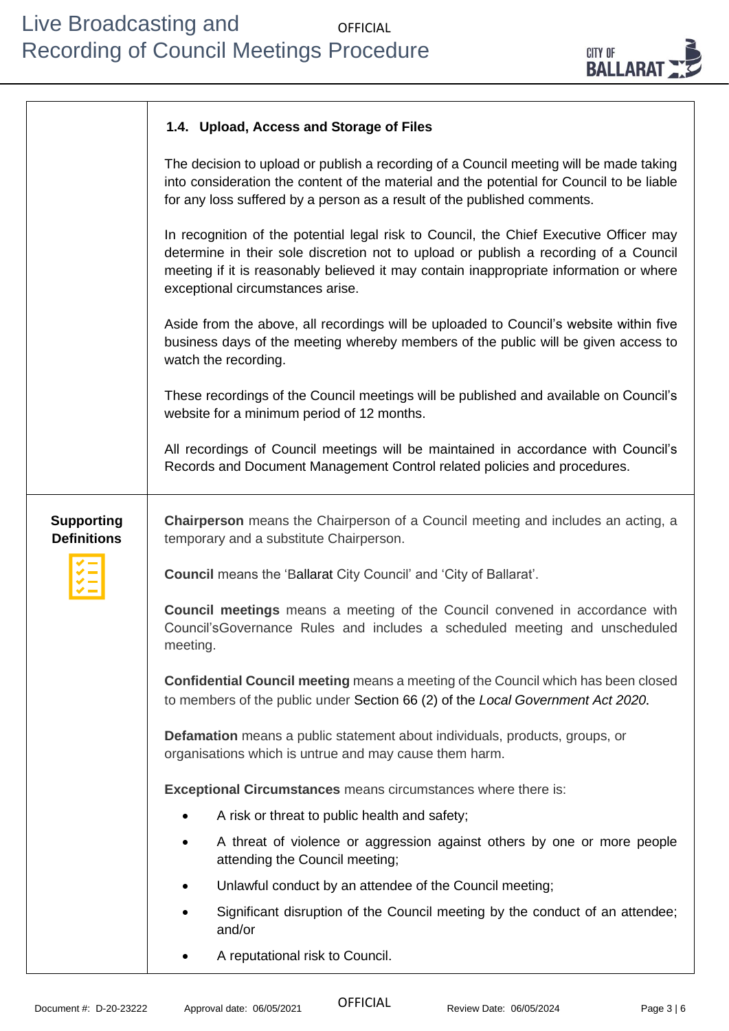

#### **1.4. Upload, Access and Storage of Files**

The decision to upload or publish a recording of a Council meeting will be made taking into consideration the content of the material and the potential for Council to be liable for any loss suffered by a person as a result of the published comments. In recognition of the potential legal risk to Council, the Chief Executive Officer may determine in their sole discretion not to upload or publish a recording of a Council meeting if it is reasonably believed it may contain inappropriate information or where exceptional circumstances arise. Aside from the above, all recordings will be uploaded to Council's website within five business days of the meeting whereby members of the public will be given access to watch the recording. These recordings of the Council meetings will be published and available on Council's website for a minimum period of 12 months. All recordings of Council meetings will be maintained in accordance with Council's Records and Document Management Control related policies and procedures. **Supporting Definitions Chairperson** means the Chairperson of a Council meeting and includes an acting, a temporary and a substitute Chairperson. **Council** means the 'Ballarat City Council' and 'City of Ballarat'. **Council meetings** means a meeting of the Council convened in accordance with Council'sGovernance Rules and includes a scheduled meeting and unscheduled meeting. **Confidential Council meeting** means a meeting of the Council which has been closed to members of the public under Section 66 (2) of the *Local Government Act 2020.* **Defamation** means a public statement about individuals, products, groups, or organisations which is untrue and may cause them harm. **Exceptional Circumstances** means circumstances where there is: • A risk or threat to public health and safety; • A threat of violence or aggression against others by one or more people attending the Council meeting; Unlawful conduct by an attendee of the Council meeting; • Significant disruption of the Council meeting by the conduct of an attendee; and/or • A reputational risk to Council.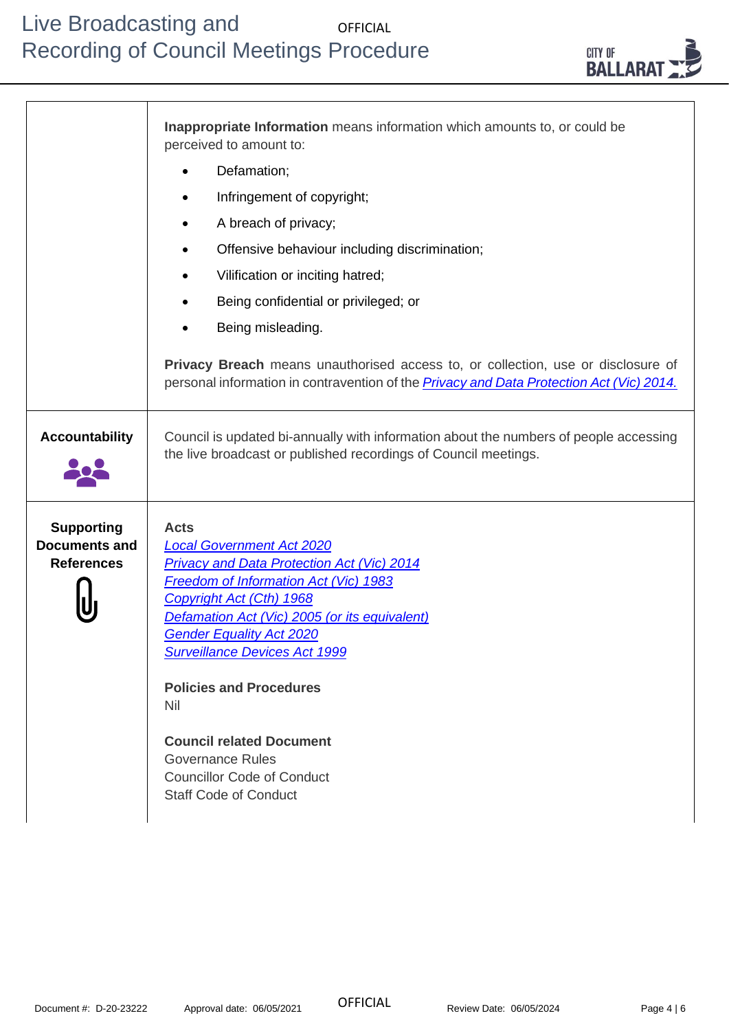|                                                                | Inappropriate Information means information which amounts to, or could be<br>perceived to amount to:                                                                                                                                                                                                                                                                                                                                                                                     |
|----------------------------------------------------------------|------------------------------------------------------------------------------------------------------------------------------------------------------------------------------------------------------------------------------------------------------------------------------------------------------------------------------------------------------------------------------------------------------------------------------------------------------------------------------------------|
|                                                                | Defamation;                                                                                                                                                                                                                                                                                                                                                                                                                                                                              |
|                                                                | Infringement of copyright;                                                                                                                                                                                                                                                                                                                                                                                                                                                               |
|                                                                | A breach of privacy;                                                                                                                                                                                                                                                                                                                                                                                                                                                                     |
|                                                                | Offensive behaviour including discrimination;<br>٠                                                                                                                                                                                                                                                                                                                                                                                                                                       |
|                                                                | Vilification or inciting hatred;                                                                                                                                                                                                                                                                                                                                                                                                                                                         |
|                                                                | Being confidential or privileged; or                                                                                                                                                                                                                                                                                                                                                                                                                                                     |
|                                                                | Being misleading.                                                                                                                                                                                                                                                                                                                                                                                                                                                                        |
|                                                                | Privacy Breach means unauthorised access to, or collection, use or disclosure of<br>personal information in contravention of the <b>Privacy and Data Protection Act (Vic) 2014</b> .                                                                                                                                                                                                                                                                                                     |
| <b>Accountability</b>                                          | Council is updated bi-annually with information about the numbers of people accessing<br>the live broadcast or published recordings of Council meetings.                                                                                                                                                                                                                                                                                                                                 |
| <b>Supporting</b><br><b>Documents and</b><br><b>References</b> | <b>Acts</b><br><b>Local Government Act 2020</b><br><b>Privacy and Data Protection Act (Vic) 2014</b><br>Freedom of Information Act (Vic) 1983<br>Copyright Act (Cth) 1968<br>Defamation Act (Vic) 2005 (or its equivalent)<br><b>Gender Equality Act 2020</b><br><b>Surveillance Devices Act 1999</b><br><b>Policies and Procedures</b><br><b>Nil</b><br><b>Council related Document</b><br><b>Governance Rules</b><br><b>Councillor Code of Conduct</b><br><b>Staff Code of Conduct</b> |

Document #: D-20-23222 Approval date: 06/05/2021 Review Date: 06/05/2024 Page 4 | 6

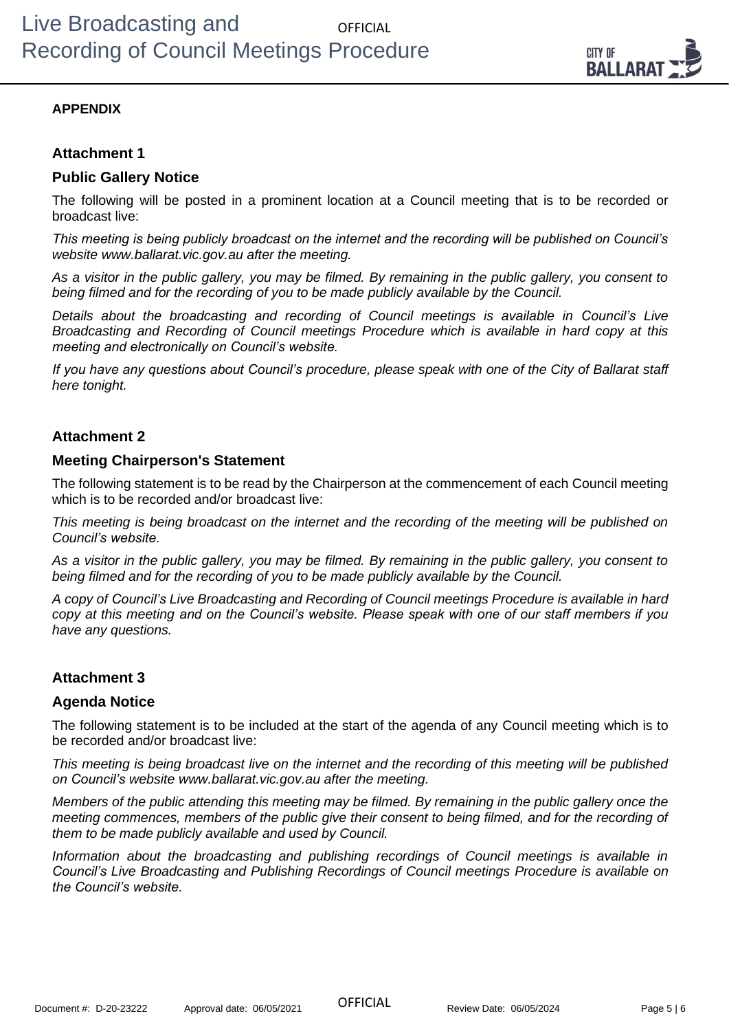

## **APPENDIX**

## **Attachment 1**

## **Public Gallery Notice**

The following will be posted in a prominent location at a Council meeting that is to be recorded or broadcast live:

*This meeting is being publicly broadcast on the internet and the recording will be published on Council's website www.ballarat.vic.gov.au after the meeting.* 

*As a visitor in the public gallery, you may be filmed. By remaining in the public gallery, you consent to being filmed and for the recording of you to be made publicly available by the Council.*

*Details about the broadcasting and recording of Council meetings is available in Council's Live Broadcasting and Recording of Council meetings Procedure which is available in hard copy at this meeting and electronically on Council's website.*

*If you have any questions about Council's procedure, please speak with one of the City of Ballarat staff here tonight.* 

## **Attachment 2**

### **Meeting Chairperson's Statement**

The following statement is to be read by the Chairperson at the commencement of each Council meeting which is to be recorded and/or broadcast live:

*This meeting is being broadcast on the internet and the recording of the meeting will be published on Council's website.* 

*As a visitor in the public gallery, you may be filmed. By remaining in the public gallery, you consent to being filmed and for the recording of you to be made publicly available by the Council.*

*A copy of Council's Live Broadcasting and Recording of Council meetings Procedure is available in hard copy at this meeting and on the Council's website. Please speak with one of our staff members if you have any questions.* 

## **Attachment 3**

## **Agenda Notice**

The following statement is to be included at the start of the agenda of any Council meeting which is to be recorded and/or broadcast live:

*This meeting is being broadcast live on the internet and the recording of this meeting will be published on Council's website www.ballarat.vic.gov.au after the meeting.* 

*Members of the public attending this meeting may be filmed. By remaining in the public gallery once the meeting commences, members of the public give their consent to being filmed, and for the recording of them to be made publicly available and used by Council.*

*Information about the broadcasting and publishing recordings of Council meetings is available in Council's Live Broadcasting and Publishing Recordings of Council meetings Procedure is available on the Council's website.*